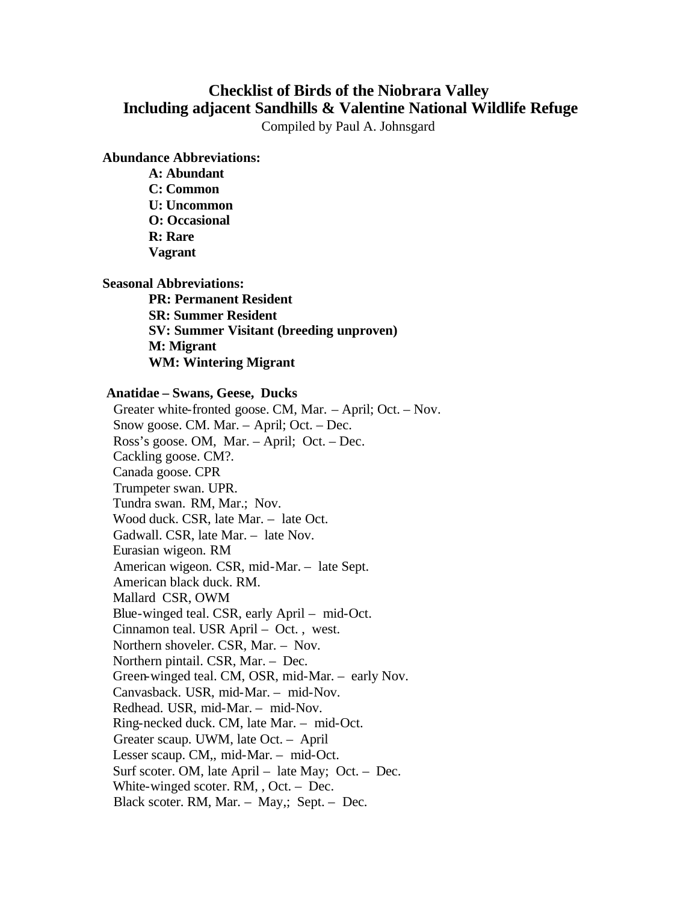## **Checklist of Birds of the Niobrara Valley Including adjacent Sandhills & Valentine National Wildlife Refuge**

Compiled by Paul A. Johnsgard

**Abundance Abbreviations:**

**A: Abundant C: Common U: Uncommon O: Occasional R: Rare Vagrant**

**Seasonal Abbreviations:**

**PR: Permanent Resident SR: Summer Resident SV: Summer Visitant (breeding unproven) M: Migrant WM: Wintering Migrant**

## **Anatidae – Swans, Geese, Ducks**

 Greater white-fronted goose. CM, Mar. – April; Oct. – Nov. Snow goose. CM. Mar. – April; Oct. – Dec. Ross's goose. OM, Mar. – April; Oct. – Dec. Cackling goose. CM?. Canada goose. CPR Trumpeter swan. UPR. Tundra swan. RM, Mar.; Nov. Wood duck. CSR, late Mar. – late Oct. Gadwall. CSR, late Mar. – late Nov. Eurasian wigeon. RM American wigeon. CSR, mid-Mar. – late Sept. American black duck. RM. Mallard CSR, OWM Blue-winged teal. CSR, early April – mid-Oct. Cinnamon teal. USR April – Oct. , west. Northern shoveler. CSR, Mar. – Nov. Northern pintail. CSR, Mar. – Dec. Green-winged teal. CM, OSR, mid-Mar. – early Nov. Canvasback. USR, mid-Mar. – mid-Nov. Redhead. USR, mid-Mar. – mid-Nov. Ring-necked duck. CM, late Mar. – mid-Oct. Greater scaup. UWM, late Oct. – April Lesser scaup. CM,, mid-Mar. – mid-Oct. Surf scoter. OM, late April – late May; Oct. – Dec. White-winged scoter. RM, , Oct. – Dec. Black scoter. RM, Mar. – May,; Sept. – Dec.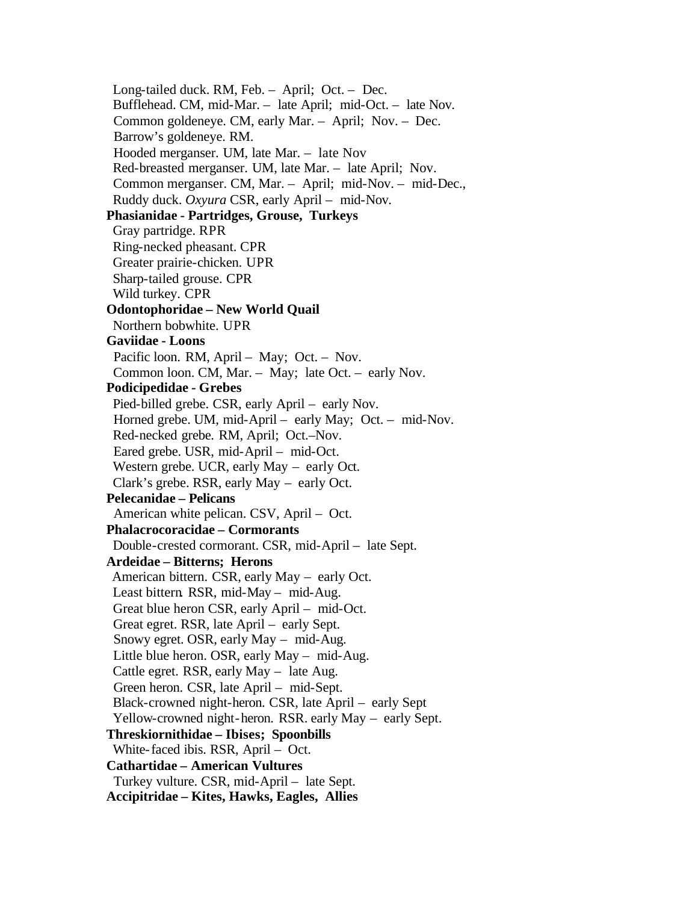Long-tailed duck. RM, Feb. – April; Oct. – Dec. Bufflehead. CM, mid-Mar. – late April; mid-Oct. – late Nov. Common goldeneye. CM, early Mar. – April; Nov. – Dec. Barrow's goldeneye. RM. Hooded merganser. UM, late Mar. – late Nov Red-breasted merganser. UM, late Mar. – late April; Nov. Common merganser. CM, Mar. – April; mid-Nov. – mid-Dec., Ruddy duck. *Oxyura* CSR, early April – mid-Nov.  **Phasianidae - Partridges, Grouse, Turkeys** Gray partridge. RPR Ring-necked pheasant. CPR Greater prairie-chicken. UPR Sharp-tailed grouse. CPR Wild turkey. CPR  **Odontophoridae – New World Quail** Northern bobwhite. UPR  **Gaviidae - Loons**  Pacific loon. RM, April - May; Oct. - Nov. Common loon. CM, Mar. – May; late Oct. – early Nov.  **Podicipedidae - Grebes**  Pied-billed grebe. CSR, early April – early Nov. Horned grebe. UM, mid-April – early May; Oct. – mid-Nov. Red-necked grebe*.* RM, April; Oct.–Nov. Eared grebe. USR, mid-April – mid-Oct. Western grebe. UCR, early May – early Oct. Clark's grebe. RSR, early May – early Oct.  **Pelecanidae – Pelicans** American white pelican. CSV, April – Oct.  **Phalacrocoracidae – Cormorants** Double-crested cormorant. CSR, mid-April – late Sept.  **Ardeidae – Bitterns; Herons** American bittern. CSR, early May – early Oct. Least bittern RSR, mid-May – mid-Aug. Great blue heron CSR, early April – mid-Oct. Great egret. RSR, late April – early Sept. Snowy egret. OSR, early May – mid-Aug. Little blue heron. OSR, early May – mid-Aug. Cattle egret. RSR, early May – late Aug. Green heron. CSR, late April – mid-Sept. Black-crowned night-heron. CSR, late April – early Sept Yellow-crowned night-heron. RSR. early May – early Sept.  **Threskiornithidae – Ibises; Spoonbills** White-faced ibis. RSR, April – Oct.  **Cathartidae – American Vultures** Turkey vulture. CSR, mid-April – late Sept.  **Accipitridae – Kites, Hawks, Eagles, Allies**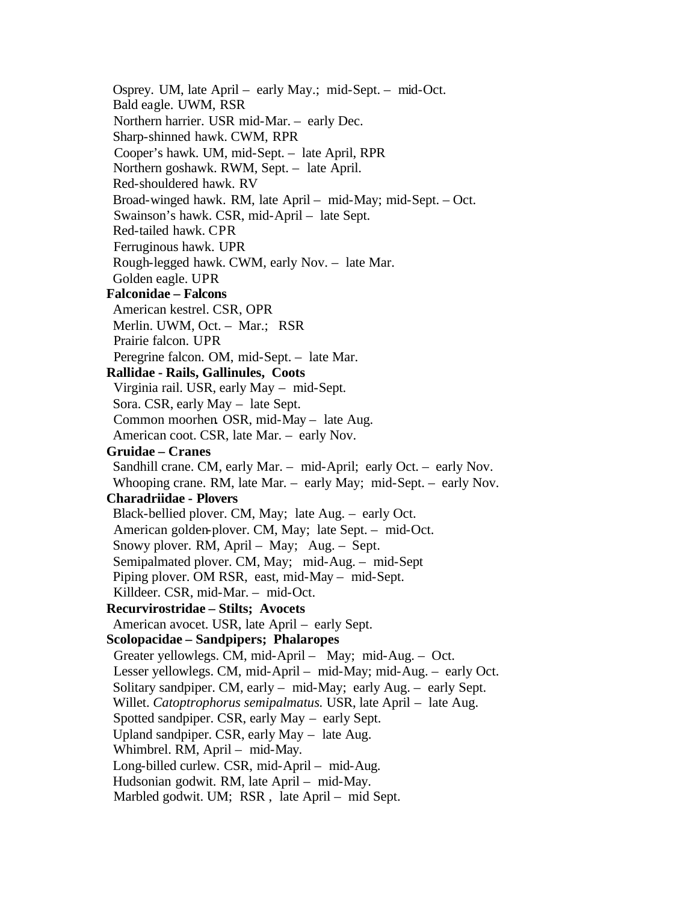Osprey. UM, late April – early May.; mid-Sept. – mid-Oct. Bald eagle. UWM, RSR Northern harrier. USR mid-Mar. – early Dec. Sharp-shinned hawk. CWM, RPR Cooper's hawk. UM, mid-Sept. – late April, RPR Northern goshawk. RWM, Sept. – late April. Red-shouldered hawk. RV Broad-winged hawk*.* RM, late April – mid-May; mid-Sept. – Oct. Swainson's hawk. CSR, mid-April – late Sept. Red-tailed hawk. CPR Ferruginous hawk. UPR Rough-legged hawk. CWM, early Nov. – late Mar. Golden eagle. UPR  **Falconidae – Falcons** American kestrel. CSR, OPR Merlin. UWM, Oct. – Mar.; RSR Prairie falcon. UPR Peregrine falcon. OM, mid-Sept. – late Mar.  **Rallidae - Rails, Gallinules, Coots** Virginia rail. USR, early May – mid-Sept. Sora. CSR, early May – late Sept. Common moorhen*.* OSR, mid-May – late Aug. American coot. CSR, late Mar. – early Nov.  **Gruidae – Cranes** Sandhill crane. CM, early Mar. – mid-April; early Oct. – early Nov. Whooping crane. RM, late Mar. – early May; mid-Sept. – early Nov.  **Charadriidae - Plovers** Black-bellied plover. CM, May; late Aug. – early Oct. American golden-plover. CM, May; late Sept. – mid-Oct. Snowy plover. RM, April – May; Aug. – Sept. Semipalmated plover. CM, May; mid-Aug. – mid-Sept Piping plover. OM RSR, east, mid-May – mid-Sept. Killdeer. CSR, mid-Mar. – mid-Oct.  **Recurvirostridae – Stilts; Avocets** American avocet. USR, late April – early Sept.  **Scolopacidae – Sandpipers; Phalaropes** Greater yellowlegs. CM, mid-April – May; mid-Aug. – Oct. Lesser yellowlegs. CM, mid-April – mid-May; mid-Aug. – early Oct. Solitary sandpiper. CM, early – mid-May; early Aug. – early Sept. Willet. *Catoptrophorus semipalmatus.* USR, late April – late Aug. Spotted sandpiper. CSR, early May – early Sept. Upland sandpiper. CSR, early May – late Aug. Whimbrel. RM, April – mid-May. Long-billed curlew. CSR, mid-April – mid-Aug. Hudsonian godwit. RM, late April – mid-May. Marbled godwit. UM; RSR , late April – mid Sept.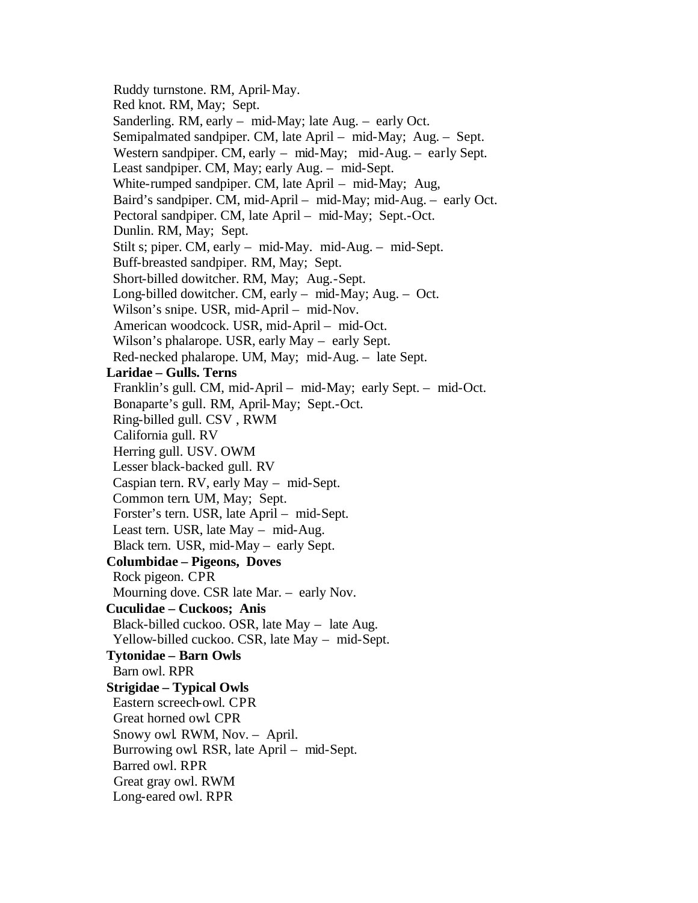Ruddy turnstone. RM, April-May. Red knot. RM, May; Sept. Sanderling. RM, early – mid-May; late Aug. – early Oct. Semipalmated sandpiper*.* CM, late April – mid-May; Aug. – Sept. Western sandpiper. CM, early – mid-May; mid-Aug. – early Sept. Least sandpiper. CM, May; early Aug. – mid-Sept. White-rumped sandpiper. CM, late April – mid-May; Aug, Baird's sandpiper. CM, mid-April – mid-May; mid-Aug. – early Oct. Pectoral sandpiper. CM, late April – mid-May; Sept.-Oct. Dunlin. RM, May; Sept. Stilt s; piper. CM, early – mid-May. mid-Aug. – mid-Sept. Buff-breasted sandpiper. RM, May; Sept. Short-billed dowitcher. RM, May; Aug.-Sept. Long-billed dowitcher. CM, early – mid-May; Aug. – Oct. Wilson's snipe. USR, mid-April – mid-Nov. American woodcock. USR, mid-April – mid-Oct. Wilson's phalarope. USR, early May – early Sept. Red-necked phalarope. UM, May; mid-Aug. – late Sept.  **Laridae – Gulls. Terns** Franklin's gull*.* CM, mid-April – mid-May; early Sept. – mid-Oct. Bonaparte's gull. RM, April-May; Sept.-Oct. Ring-billed gull. CSV , RWM California gull. RV Herring gull. USV. OWM Lesser black-backed gull. RV Caspian tern. RV, early May – mid-Sept. Common tern. UM, May; Sept. Forster's tern. USR, late April – mid-Sept. Least tern. USR, late May – mid-Aug. Black tern. USR, mid-May – early Sept.  **Columbidae – Pigeons, Doves** Rock pigeon. CPR Mourning dove. CSR late Mar. – early Nov.  **Cuculidae – Cuckoos; Anis** Black-billed cuckoo. OSR, late May – late Aug. Yellow-billed cuckoo. CSR, late May – mid-Sept.  **Tytonidae – Barn Owls** Barn owl. RPR  **Strigidae – Typical Owls** Eastern screech-owl. CPR Great horned owl*.* CPR Snowy owl. RWM, Nov. – April. Burrowing owl*.* RSR, late April – mid-Sept. Barred owl. RPR Great gray owl. RWM Long-eared owl. RPR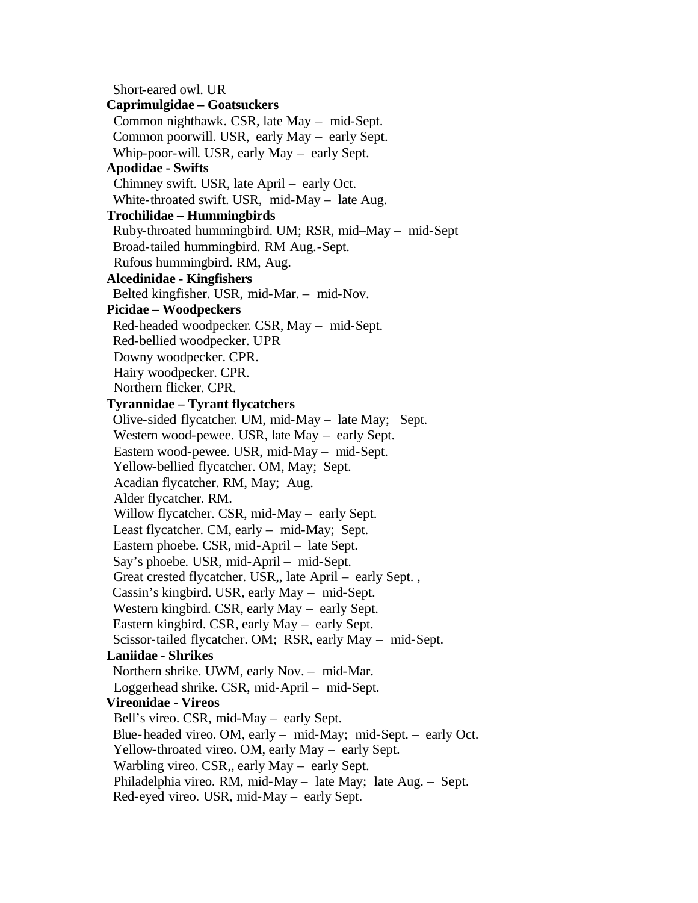Short-eared owl. UR  **Caprimulgidae – Goatsuckers** Common nighthawk*.* CSR, late May – mid-Sept. Common poorwill. USR, early May – early Sept. Whip-poor-will*.* USR, early May – early Sept.  **Apodidae - Swifts** Chimney swift. USR, late April – early Oct. White-throated swift. USR, mid-May – late Aug.  **Trochilidae – Hummingbirds** Ruby-throated hummingbird. UM; RSR, mid–May – mid-Sept Broad-tailed hummingbird. RM Aug.-Sept. Rufous hummingbird. RM, Aug.  **Alcedinidae - Kingfishers** Belted kingfisher. USR, mid-Mar. – mid-Nov.  **Picidae – Woodpeckers** Red-headed woodpecker*.* CSR, May – mid-Sept. Red-bellied woodpecker. UPR Downy woodpecker. CPR. Hairy woodpecker. CPR. Northern flicker. CPR.  **Tyrannidae – Tyrant flycatchers** Olive-sided flycatcher*.* UM, mid-May – late May; Sept. Western wood-pewee. USR, late May – early Sept. Eastern wood-pewee. USR, mid-May – mid-Sept. Yellow-bellied flycatcher. OM, May; Sept. Acadian flycatcher. RM, May; Aug. Alder flycatcher. RM. Willow flycatcher. CSR, mid-May – early Sept. Least flycatcher. CM, early – mid-May; Sept. Eastern phoebe. CSR, mid-April – late Sept. Say's phoebe*.* USR, mid-April – mid-Sept. Great crested flycatcher. USR,, late April – early Sept. , Cassin's kingbird. USR, early May – mid-Sept. Western kingbird. CSR, early May – early Sept. Eastern kingbird. CSR, early May – early Sept. Scissor-tailed flycatcher. OM; RSR, early May – mid-Sept.  **Laniidae - Shrikes** Northern shrike*.* UWM, early Nov. – mid-Mar. Loggerhead shrike. CSR, mid-April – mid-Sept.  **Vireonidae - Vireos** Bell's vireo. CSR, mid-May – early Sept. Blue-headed vireo. OM, early – mid-May; mid-Sept. – early Oct. Yellow-throated vireo. OM, early May – early Sept. Warbling vireo. CSR,, early May – early Sept. Philadelphia vireo. RM, mid-May – late May; late Aug. – Sept. Red-eyed vireo. USR, mid-May – early Sept.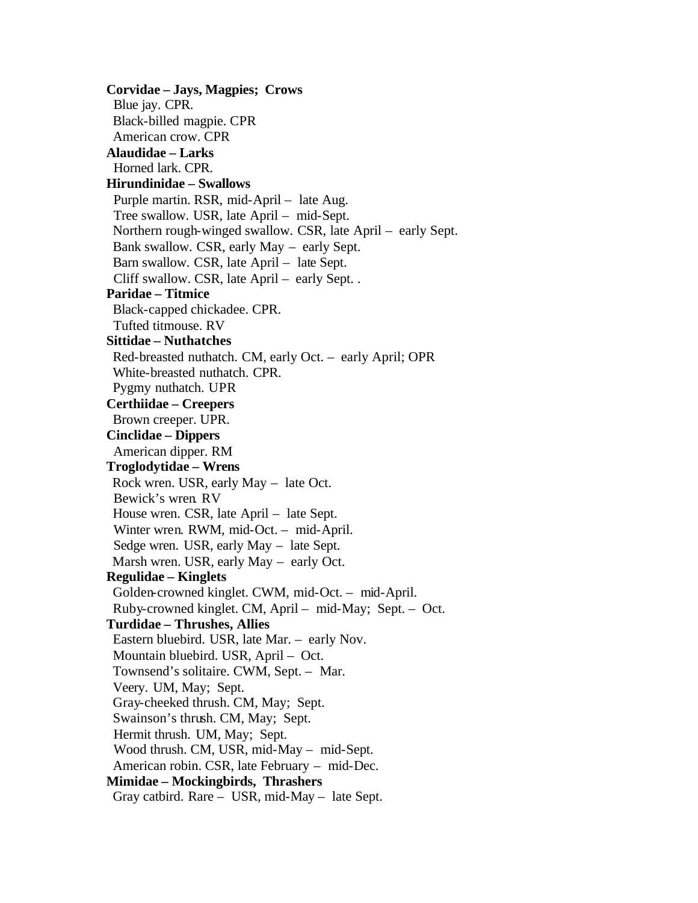**Corvidae – Jays, Magpies; Crows** Blue jay. CPR. Black-billed magpie. CPR American crow. CPR  **Alaudidae – Larks** Horned lark. CPR.  **Hirundinidae – Swallows** Purple martin. RSR, mid-April – late Aug. Tree swallow. USR, late April – mid-Sept. Northern rough-winged swallow. CSR, late April – early Sept. Bank swallow. CSR, early May – early Sept. Barn swallow. CSR, late April – late Sept. Cliff swallow. CSR, late April – early Sept. .  **Paridae – Titmice** Black-capped chickadee. CPR. Tufted titmouse. RV  **Sittidae – Nuthatches** Red-breasted nuthatch. CM, early Oct. – early April; OPR White-breasted nuthatch. CPR. Pygmy nuthatch. UPR  **Certhiidae – Creepers** Brown creeper. UPR.  **Cinclidae – Dippers** American dipper. RM  **Troglodytidae – Wrens** Rock wren. USR, early May – late Oct. Bewick's wren*.* RV House wren. CSR, late April – late Sept. Winter wren. RWM, mid-Oct. – mid-April. Sedge wren. USR, early May – late Sept. Marsh wren. USR, early May – early Oct.  **Regulidae – Kinglets** Golden-crowned kinglet. CWM, mid-Oct. – mid-April. Ruby-crowned kinglet. CM, April – mid-May; Sept. – Oct.  **Turdidae – Thrushes, Allies**  Eastern bluebird. USR, late Mar. – early Nov. Mountain bluebird. USR, April – Oct. Townsend's solitaire. CWM, Sept. – Mar. Veery. UM, May; Sept. Gray-cheeked thrush. CM, May; Sept. Swainson's thrush. CM, May; Sept. Hermit thrush. UM, May; Sept. Wood thrush. CM, USR, mid-May – mid-Sept. American robin. CSR, late February – mid-Dec.  **Mimidae – Mockingbirds, Thrashers** Gray catbird. Rare – USR, mid-May – late Sept.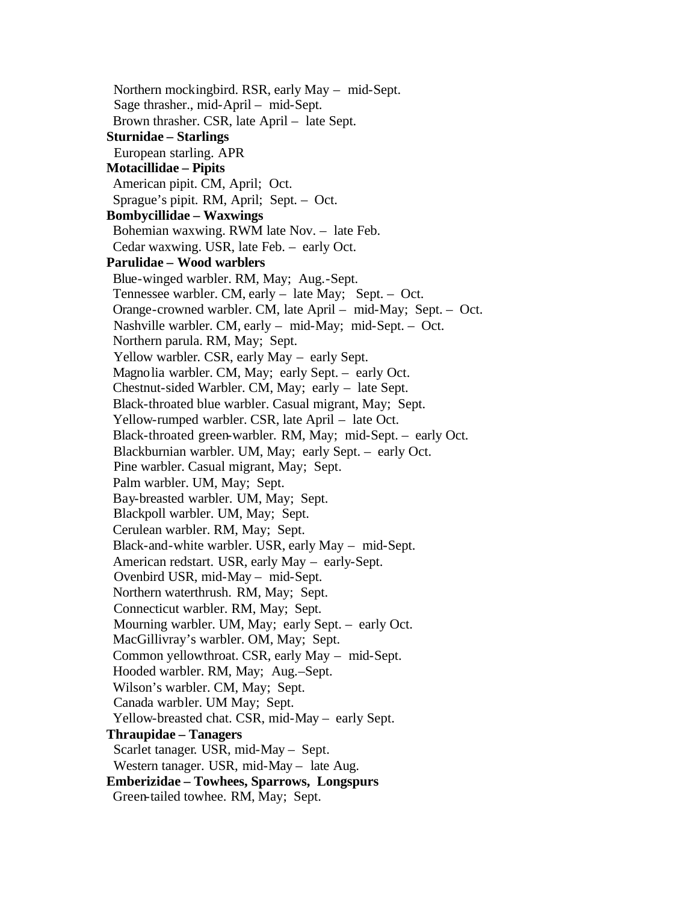Northern mockingbird. RSR, early May – mid-Sept. Sage thrasher., mid-April – mid-Sept. Brown thrasher. CSR, late April – late Sept.  **Sturnidae – Starlings** European starling. APR  **Motacillidae – Pipits** American pipit. CM, April; Oct. Sprague's pipit. RM, April; Sept. – Oct.  **Bombycillidae – Waxwings** Bohemian waxwing. RWM late Nov. – late Feb. Cedar waxwing. USR, late Feb. – early Oct.  **Parulidae – Wood warblers** Blue-winged warbler. RM, May; Aug.-Sept. Tennessee warbler. CM, early – late May; Sept. – Oct. Orange-crowned warbler. CM, late April – mid-May; Sept. – Oct. Nashville warbler. CM, early – mid-May; mid-Sept. – Oct. Northern parula. RM, May; Sept. Yellow warbler*.* CSR, early May – early Sept. Magnolia warbler. CM, May; early Sept. – early Oct. Chestnut-sided Warbler. CM, May; early – late Sept. Black-throated blue warbler. Casual migrant, May; Sept. Yellow-rumped warbler. CSR, late April – late Oct. Black-throated green-warbler*.* RM, May; mid-Sept. – early Oct. Blackburnian warbler. UM, May; early Sept. – early Oct. Pine warbler. Casual migrant, May; Sept. Palm warbler. UM, May; Sept. Bay-breasted warbler. UM, May; Sept. Blackpoll warbler. UM, May; Sept. Cerulean warbler. RM, May; Sept. Black-and-white warbler. USR, early May – mid-Sept. American redstart. USR, early May – early-Sept. Ovenbird USR, mid-May – mid-Sept. Northern waterthrush. RM, May; Sept. Connecticut warbler. RM, May; Sept. Mourning warbler. UM, May; early Sept. – early Oct. MacGillivray's warbler. OM, May; Sept. Common yellowthroat. CSR, early May – mid-Sept. Hooded warbler. RM, May; Aug.–Sept. Wilson's warbler. CM, May; Sept. Canada warbler. UM May; Sept. Yellow-breasted chat. CSR, mid-May – early Sept.  **Thraupidae – Tanagers** Scarlet tanager*.* USR, mid-May – Sept. Western tanager. USR, mid-May – late Aug.  **Emberizidae – Towhees, Sparrows, Longspurs** Green-tailed towhee. RM, May; Sept.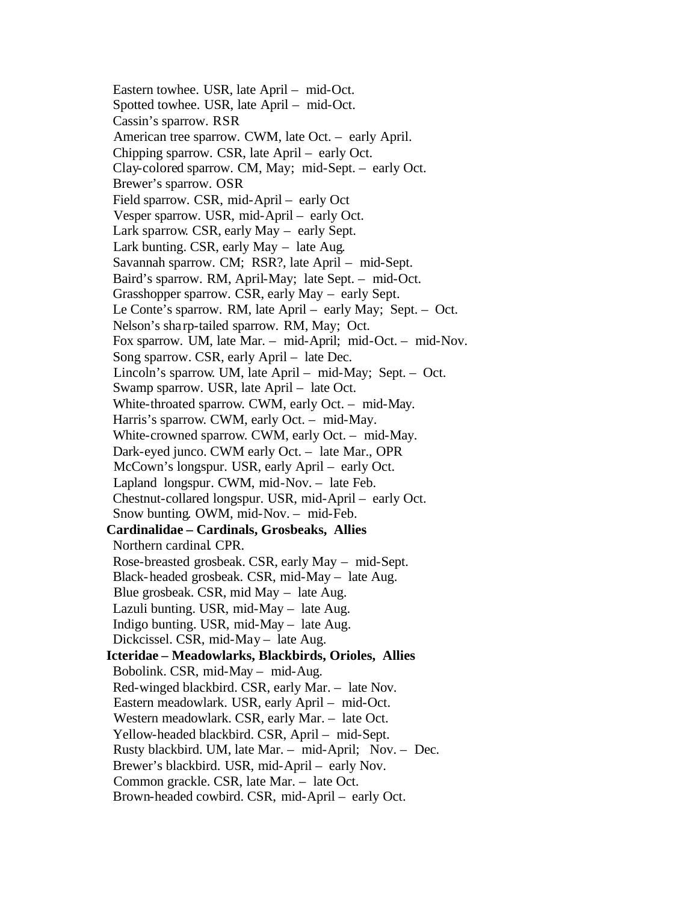Eastern towhee. USR, late April – mid-Oct. Spotted towhee. USR, late April – mid-Oct. Cassin's sparrow. RSR American tree sparrow. CWM, late Oct. – early April. Chipping sparrow. CSR, late April – early Oct. Clay-colored sparrow. CM, May; mid-Sept. – early Oct. Brewer's sparrow. OSR Field sparrow. CSR, mid-April – early Oct Vesper sparrow. USR, mid-April – early Oct. Lark sparrow*.* CSR, early May – early Sept. Lark bunting. CSR, early May – late Aug. Savannah sparrow. CM; RSR?, late April – mid-Sept. Baird's sparrow. RM, April-May; late Sept. – mid-Oct. Grasshopper sparrow. CSR, early May – early Sept. Le Conte's sparrow. RM, late April – early May; Sept. – Oct. Nelson's sha rp-tailed sparrow. RM, May; Oct. Fox sparrow. UM, late Mar. – mid-April; mid-Oct. – mid-Nov. Song sparrow. CSR, early April – late Dec. Lincoln's sparrow. UM, late April – mid-May; Sept. – Oct. Swamp sparrow. USR, late April – late Oct. White-throated sparrow*.* CWM, early Oct. – mid-May. Harris's sparrow. CWM, early Oct. – mid-May. White-crowned sparrow. CWM, early Oct. – mid-May. Dark-eyed junco. CWM early Oct. – late Mar., OPR McCown's longspur. USR, early April – early Oct. Lapland longspur. CWM, mid-Nov. – late Feb. Chestnut-collared longspur. USR, mid-April – early Oct. Snow bunting*.* OWM, mid-Nov. – mid-Feb.  **Cardinalidae – Cardinals, Grosbeaks, Allies** Northern cardinal*.* CPR. Rose-breasted grosbeak. CSR, early May – mid-Sept. Black-headed grosbeak. CSR, mid-May – late Aug. Blue grosbeak. CSR, mid May – late Aug. Lazuli bunting. USR, mid-May – late Aug. Indigo bunting. USR, mid-May – late Aug. Dickcissel. CSR, mid-May – late Aug.  **Icteridae – Meadowlarks, Blackbirds, Orioles, Allies** Bobolink. CSR, mid-May – mid-Aug. Red-winged blackbird. CSR, early Mar. – late Nov. Eastern meadowlark. USR, early April – mid-Oct. Western meadowlark. CSR, early Mar. – late Oct. Yellow-headed blackbird. CSR, April – mid-Sept. Rusty blackbird. UM, late Mar. – mid-April; Nov. – Dec. Brewer's blackbird. USR, mid-April – early Nov. Common grackle. CSR, late Mar. – late Oct. Brown-headed cowbird. CSR, mid-April – early Oct.